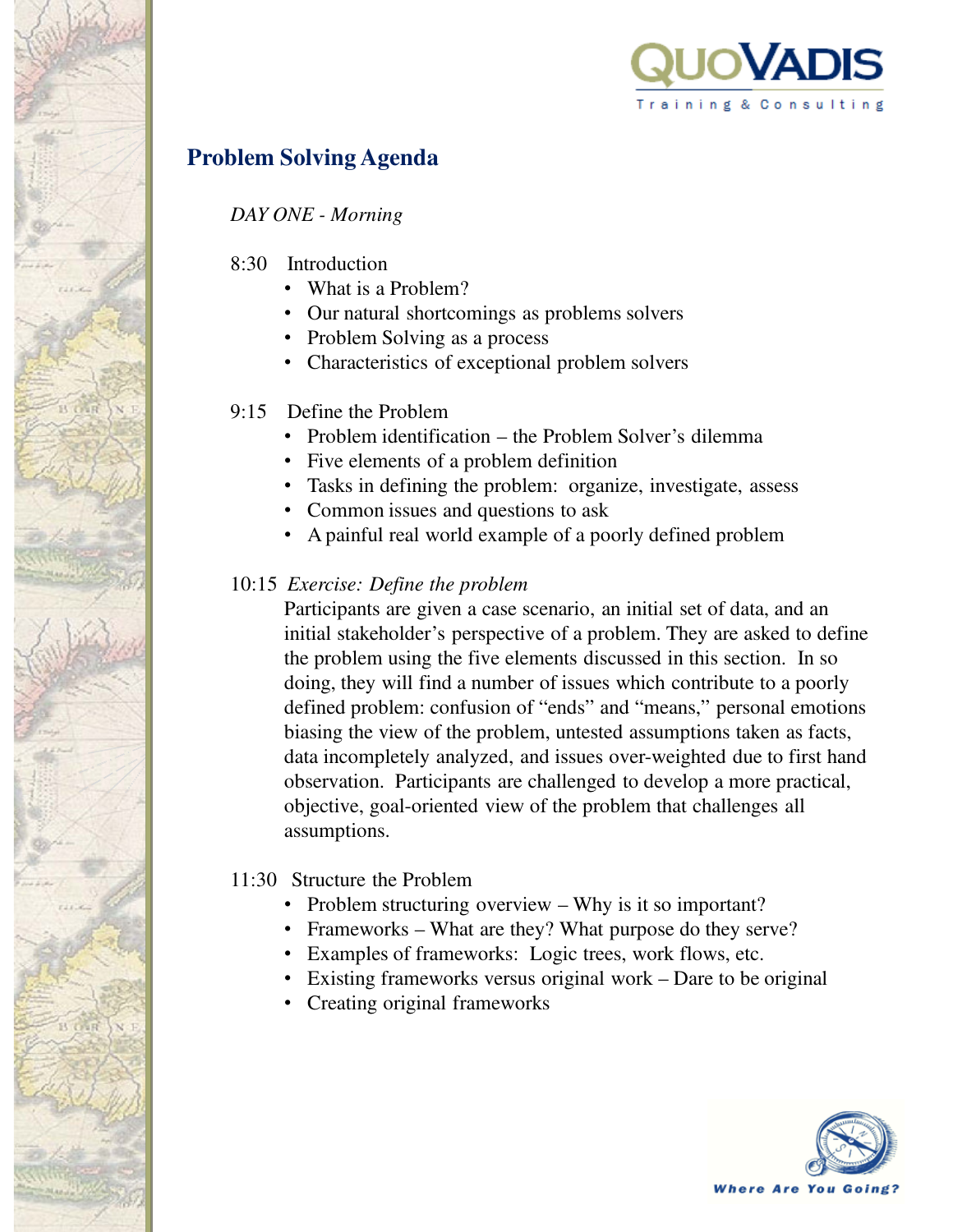

# **Problem Solving Agenda**

#### *DAY ONE - Morning*

- 8:30 Introduction
	- What is a Problem?
	- Our natural shortcomings as problems solvers
	- Problem Solving as a process
	- Characteristics of exceptional problem solvers

#### 9:15 Define the Problem

- Problem identification the Problem Solver's dilemma
- Five elements of a problem definition
- Tasks in defining the problem: organize, investigate, assess
- Common issues and questions to ask
- A painful real world example of a poorly defined problem

#### 10:15 *Exercise: Define the problem*

Participants are given a case scenario, an initial set of data, and an initial stakeholder's perspective of a problem. They are asked to define the problem using the five elements discussed in this section. In so doing, they will find a number of issues which contribute to a poorly defined problem: confusion of "ends" and "means," personal emotions biasing the view of the problem, untested assumptions taken as facts, data incompletely analyzed, and issues over-weighted due to first hand observation. Participants are challenged to develop a more practical, objective, goal-oriented view of the problem that challenges all assumptions.

#### 11:30 Structure the Problem

- Problem structuring overview Why is it so important?
- Frameworks What are they? What purpose do they serve?
- Examples of frameworks: Logic trees, work flows, etc.
- Existing frameworks versus original work Dare to be original
- Creating original frameworks

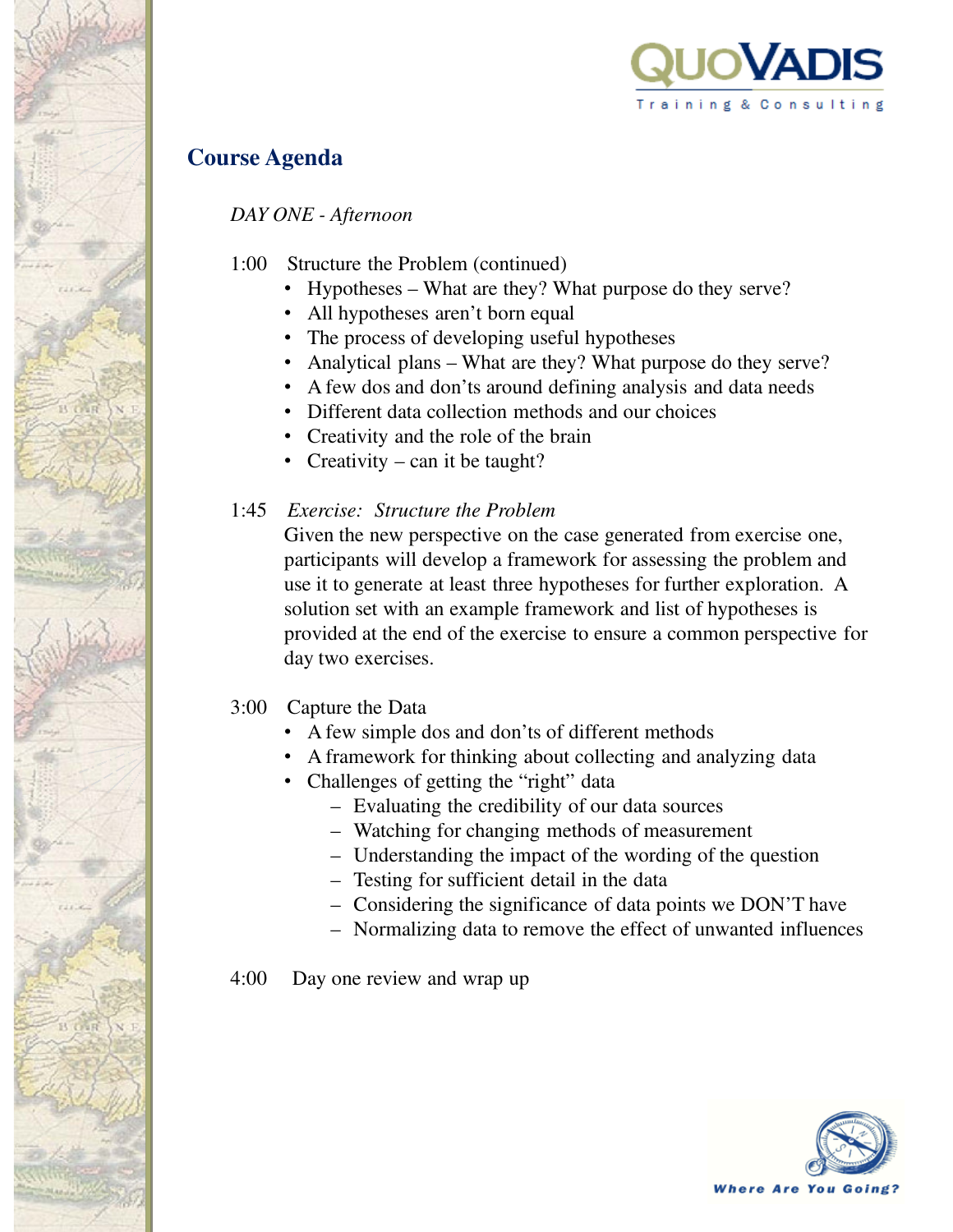

# **Course Agenda**

*DAY ONE - Afternoon*

- 1:00 Structure the Problem (continued)
	- Hypotheses What are they? What purpose do they serve?
	- All hypotheses aren't born equal
	- The process of developing useful hypotheses
	- Analytical plans What are they? What purpose do they serve?
	- A few dos and don'ts around defining analysis and data needs
	- Different data collection methods and our choices
	- Creativity and the role of the brain
	- Creativity can it be taught?

## 1:45 *Exercise: Structure the Problem*

Given the new perspective on the case generated from exercise one, participants will develop a framework for assessing the problem and use it to generate at least three hypotheses for further exploration. A solution set with an example framework and list of hypotheses is provided at the end of the exercise to ensure a common perspective for day two exercises.

#### 3:00 Capture the Data

- A few simple dos and don'ts of different methods
- A framework for thinking about collecting and analyzing data
- Challenges of getting the "right" data
	- Evaluating the credibility of our data sources
	- Watching for changing methods of measurement
	- Understanding the impact of the wording of the question
	- Testing for sufficient detail in the data
	- Considering the significance of data points we DON'T have
	- Normalizing data to remove the effect of unwanted influences

4:00 Day one review and wrap up

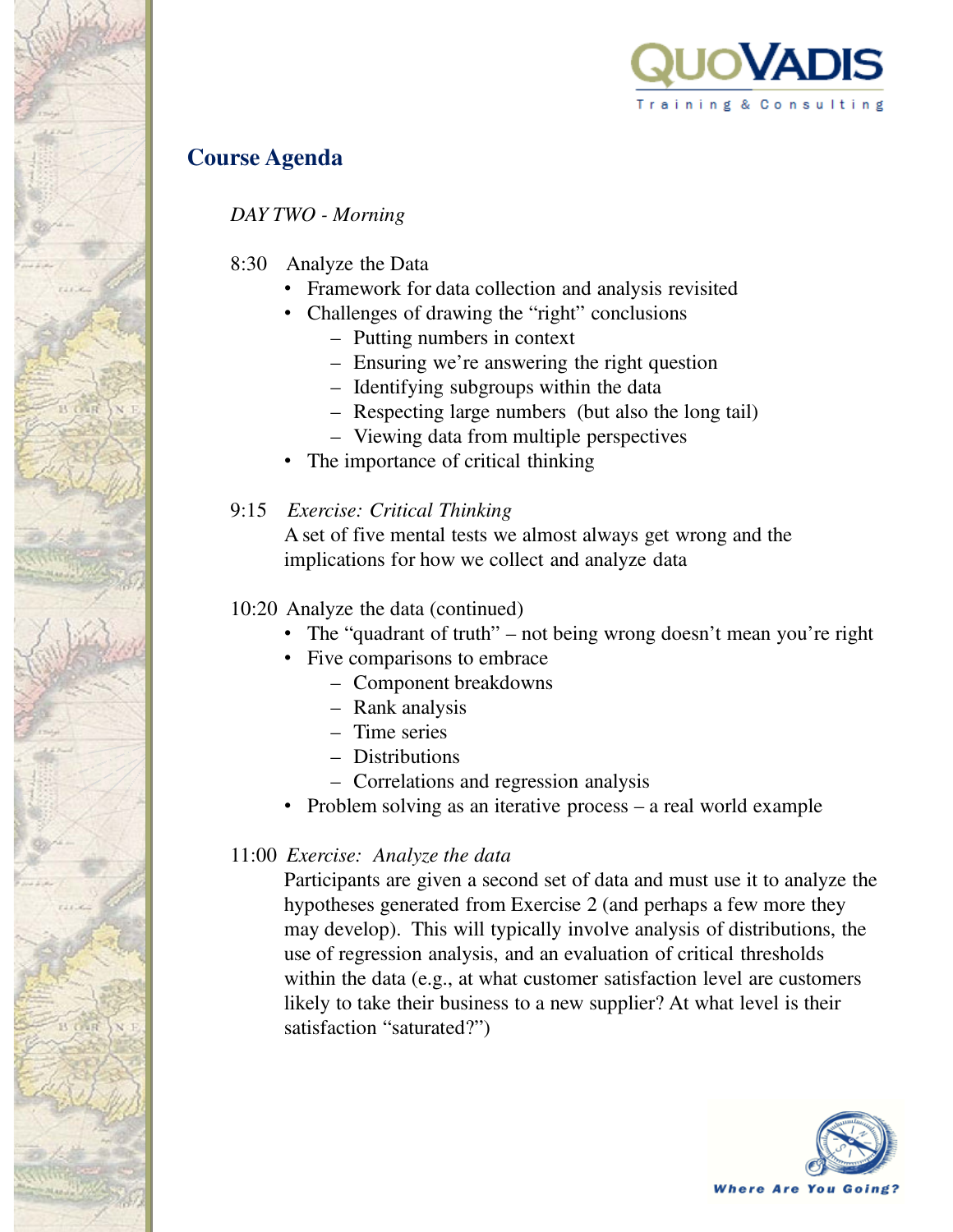

## **Course Agenda**

*DAY TWO - Morning*

- 8:30 Analyze the Data
	- Framework for data collection and analysis revisited
	- Challenges of drawing the "right" conclusions
		- Putting numbers in context
		- Ensuring we're answering the right question
		- Identifying subgroups within the data
		- Respecting large numbers (but also the long tail)
		- Viewing data from multiple perspectives
	- The importance of critical thinking
- 9:15 *Exercise: Critical Thinking*

A set of five mental tests we almost always get wrong and the implications for how we collect and analyze data

### 10:20 Analyze the data (continued)

- The "quadrant of truth" not being wrong doesn't mean you're right
- Five comparisons to embrace
	- Component breakdowns
	- Rank analysis
	- Time series
	- Distributions
	- Correlations and regression analysis
- Problem solving as an iterative process a real world example

## 11:00 *Exercise: Analyze the data*

Participants are given a second set of data and must use it to analyze the hypotheses generated from Exercise 2 (and perhaps a few more they may develop). This will typically involve analysis of distributions, the use of regression analysis, and an evaluation of critical thresholds within the data (e.g., at what customer satisfaction level are customers likely to take their business to a new supplier? At what level is their satisfaction "saturated?")